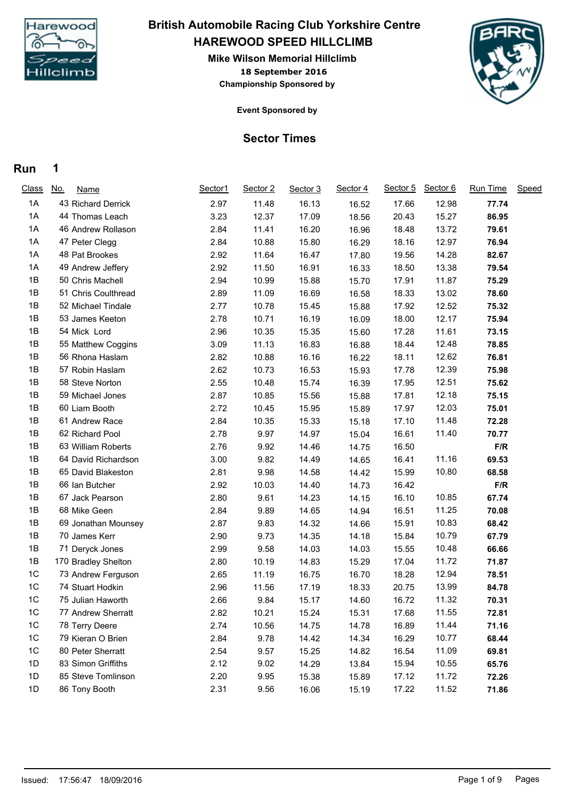

# **HAREWOOD SPEED HILLCLIMB British Automobile Racing Club Yorkshire Centre**

**18 September 2016 Mike Wilson Memorial Hillclimb Championship Sponsored by**



**Event Sponsored by**

### **Sector Times**

#### **Run 1**

| <b>Class</b>   | <u>No.</u><br><b>Name</b> | Sector1 | Sector 2 | Sector 3 | Sector 4 | Sector 5 | Sector 6 | Run Time | Speed |
|----------------|---------------------------|---------|----------|----------|----------|----------|----------|----------|-------|
| 1A             | 43 Richard Derrick        | 2.97    | 11.48    | 16.13    | 16.52    | 17.66    | 12.98    | 77.74    |       |
| 1A             | 44 Thomas Leach           | 3.23    | 12.37    | 17.09    | 18.56    | 20.43    | 15.27    | 86.95    |       |
| 1A             | 46 Andrew Rollason        | 2.84    | 11.41    | 16.20    | 16.96    | 18.48    | 13.72    | 79.61    |       |
| 1A             | 47 Peter Clegg            | 2.84    | 10.88    | 15.80    | 16.29    | 18.16    | 12.97    | 76.94    |       |
| 1A             | 48 Pat Brookes            | 2.92    | 11.64    | 16.47    | 17.80    | 19.56    | 14.28    | 82.67    |       |
| 1A             | 49 Andrew Jeffery         | 2.92    | 11.50    | 16.91    | 16.33    | 18.50    | 13.38    | 79.54    |       |
| 1B             | 50 Chris Machell          | 2.94    | 10.99    | 15.88    | 15.70    | 17.91    | 11.87    | 75.29    |       |
| 1B             | 51 Chris Coulthread       | 2.89    | 11.09    | 16.69    | 16.58    | 18.33    | 13.02    | 78.60    |       |
| 1B             | 52 Michael Tindale        | 2.77    | 10.78    | 15.45    | 15.88    | 17.92    | 12.52    | 75.32    |       |
| 1B             | 53 James Keeton           | 2.78    | 10.71    | 16.19    | 16.09    | 18.00    | 12.17    | 75.94    |       |
| 1B             | 54 Mick Lord              | 2.96    | 10.35    | 15.35    | 15.60    | 17.28    | 11.61    | 73.15    |       |
| 1B             | 55 Matthew Coggins        | 3.09    | 11.13    | 16.83    | 16.88    | 18.44    | 12.48    | 78.85    |       |
| 1B             | 56 Rhona Haslam           | 2.82    | 10.88    | 16.16    | 16.22    | 18.11    | 12.62    | 76.81    |       |
| 1B             | 57 Robin Haslam           | 2.62    | 10.73    | 16.53    | 15.93    | 17.78    | 12.39    | 75.98    |       |
| 1B             | 58 Steve Norton           | 2.55    | 10.48    | 15.74    | 16.39    | 17.95    | 12.51    | 75.62    |       |
| 1B             | 59 Michael Jones          | 2.87    | 10.85    | 15.56    | 15.88    | 17.81    | 12.18    | 75.15    |       |
| 1B             | 60 Liam Booth             | 2.72    | 10.45    | 15.95    | 15.89    | 17.97    | 12.03    | 75.01    |       |
| 1B             | 61 Andrew Race            | 2.84    | 10.35    | 15.33    | 15.18    | 17.10    | 11.48    | 72.28    |       |
| 1B             | 62 Richard Pool           | 2.78    | 9.97     | 14.97    | 15.04    | 16.61    | 11.40    | 70.77    |       |
| 1B             | 63 William Roberts        | 2.76    | 9.92     | 14.46    | 14.75    | 16.50    |          | F/R      |       |
| 1B             | 64 David Richardson       | 3.00    | 9.82     | 14.49    | 14.65    | 16.41    | 11.16    | 69.53    |       |
| 1B             | 65 David Blakeston        | 2.81    | 9.98     | 14.58    | 14.42    | 15.99    | 10.80    | 68.58    |       |
| 1B             | 66 Ian Butcher            | 2.92    | 10.03    | 14.40    | 14.73    | 16.42    |          | F/R      |       |
| 1B             | 67 Jack Pearson           | 2.80    | 9.61     | 14.23    | 14.15    | 16.10    | 10.85    | 67.74    |       |
| 1B             | 68 Mike Geen              | 2.84    | 9.89     | 14.65    | 14.94    | 16.51    | 11.25    | 70.08    |       |
| 1B             | 69 Jonathan Mounsey       | 2.87    | 9.83     | 14.32    | 14.66    | 15.91    | 10.83    | 68.42    |       |
| 1B             | 70 James Kerr             | 2.90    | 9.73     | 14.35    | 14.18    | 15.84    | 10.79    | 67.79    |       |
| 1B             | 71 Deryck Jones           | 2.99    | 9.58     | 14.03    | 14.03    | 15.55    | 10.48    | 66.66    |       |
| 1B             | 170 Bradley Shelton       | 2.80    | 10.19    | 14.83    | 15.29    | 17.04    | 11.72    | 71.87    |       |
| 1C             | 73 Andrew Ferguson        | 2.65    | 11.19    | 16.75    | 16.70    | 18.28    | 12.94    | 78.51    |       |
| 1C             | 74 Stuart Hodkin          | 2.96    | 11.56    | 17.19    | 18.33    | 20.75    | 13.99    | 84.78    |       |
| 1C             | 75 Julian Haworth         | 2.66    | 9.84     | 15.17    | 14.60    | 16.72    | 11.32    | 70.31    |       |
| 1 <sup>C</sup> | 77 Andrew Sherratt        | 2.82    | 10.21    | 15.24    | 15.31    | 17.68    | 11.55    | 72.81    |       |
| 1C             | 78 Terry Deere            | 2.74    | 10.56    | 14.75    | 14.78    | 16.89    | 11.44    | 71.16    |       |
| 1C             | 79 Kieran O Brien         | 2.84    | 9.78     | 14.42    | 14.34    | 16.29    | 10.77    | 68.44    |       |
| 1C             | 80 Peter Sherratt         | 2.54    | 9.57     | 15.25    | 14.82    | 16.54    | 11.09    | 69.81    |       |
| 1D             | 83 Simon Griffiths        | 2.12    | 9.02     | 14.29    | 13.84    | 15.94    | 10.55    | 65.76    |       |
| 1D             | 85 Steve Tomlinson        | 2.20    | 9.95     | 15.38    | 15.89    | 17.12    | 11.72    | 72.26    |       |
| 1D             | 86 Tony Booth             | 2.31    | 9.56     | 16.06    | 15.19    | 17.22    | 11.52    | 71.86    |       |
|                |                           |         |          |          |          |          |          |          |       |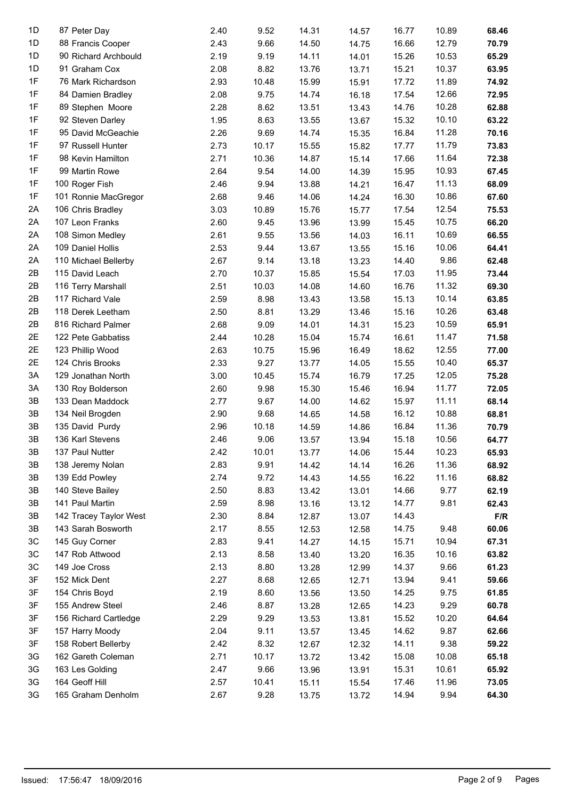| 1D            | 87 Peter Day           | 2.40 | 9.52  | 14.31 | 14.57 | 16.77 | 10.89 | 68.46       |
|---------------|------------------------|------|-------|-------|-------|-------|-------|-------------|
| 1D            | 88 Francis Cooper      | 2.43 | 9.66  | 14.50 | 14.75 | 16.66 | 12.79 | 70.79       |
| 1D            | 90 Richard Archbould   | 2.19 | 9.19  | 14.11 | 14.01 | 15.26 | 10.53 | 65.29       |
| 1D            | 91 Graham Cox          | 2.08 | 8.82  | 13.76 | 13.71 | 15.21 | 10.37 | 63.95       |
| 1F            | 76 Mark Richardson     | 2.93 | 10.48 | 15.99 | 15.91 | 17.72 | 11.89 | 74.92       |
| 1F            | 84 Damien Bradley      | 2.08 | 9.75  | 14.74 | 16.18 | 17.54 | 12.66 | 72.95       |
| 1F            | 89 Stephen Moore       | 2.28 | 8.62  | 13.51 | 13.43 | 14.76 | 10.28 | 62.88       |
| 1F            | 92 Steven Darley       | 1.95 | 8.63  | 13.55 | 13.67 | 15.32 | 10.10 | 63.22       |
| 1F            | 95 David McGeachie     | 2.26 | 9.69  | 14.74 | 15.35 | 16.84 | 11.28 | 70.16       |
| 1F            | 97 Russell Hunter      | 2.73 | 10.17 | 15.55 | 15.82 | 17.77 | 11.79 | 73.83       |
| 1F            | 98 Kevin Hamilton      | 2.71 | 10.36 | 14.87 | 15.14 | 17.66 | 11.64 | 72.38       |
| 1F            | 99 Martin Rowe         | 2.64 | 9.54  | 14.00 | 14.39 | 15.95 | 10.93 | 67.45       |
| 1F            | 100 Roger Fish         | 2.46 | 9.94  | 13.88 | 14.21 | 16.47 | 11.13 | 68.09       |
| 1F            | 101 Ronnie MacGregor   | 2.68 | 9.46  | 14.06 | 14.24 | 16.30 | 10.86 | 67.60       |
| 2A            | 106 Chris Bradley      | 3.03 | 10.89 | 15.76 | 15.77 | 17.54 | 12.54 | 75.53       |
| 2A            | 107 Leon Franks        | 2.60 | 9.45  | 13.96 | 13.99 | 15.45 | 10.75 | 66.20       |
| 2A            | 108 Simon Medley       | 2.61 | 9.55  | 13.56 | 14.03 | 16.11 | 10.69 | 66.55       |
| 2A            | 109 Daniel Hollis      | 2.53 | 9.44  | 13.67 | 13.55 | 15.16 | 10.06 | 64.41       |
| 2A            | 110 Michael Bellerby   | 2.67 | 9.14  | 13.18 | 13.23 | 14.40 | 9.86  | 62.48       |
| 2B            | 115 David Leach        | 2.70 | 10.37 | 15.85 | 15.54 | 17.03 | 11.95 | 73.44       |
| 2B            | 116 Terry Marshall     | 2.51 | 10.03 | 14.08 | 14.60 | 16.76 | 11.32 | 69.30       |
| 2B            | 117 Richard Vale       | 2.59 | 8.98  | 13.43 | 13.58 | 15.13 | 10.14 | 63.85       |
| 2B            | 118 Derek Leetham      | 2.50 | 8.81  | 13.29 | 13.46 | 15.16 | 10.26 | 63.48       |
| 2B            | 816 Richard Palmer     | 2.68 | 9.09  | 14.01 | 14.31 | 15.23 | 10.59 | 65.91       |
| 2E            | 122 Pete Gabbatiss     | 2.44 | 10.28 | 15.04 | 15.74 | 16.61 | 11.47 | 71.58       |
| 2E            | 123 Phillip Wood       | 2.63 | 10.75 | 15.96 | 16.49 | 18.62 | 12.55 | 77.00       |
| 2E            | 124 Chris Brooks       | 2.33 | 9.27  | 13.77 | 14.05 | 15.55 | 10.40 | 65.37       |
| 3A            | 129 Jonathan North     | 3.00 | 10.45 | 15.74 | 16.79 | 17.25 | 12.05 | 75.28       |
| 3A            | 130 Roy Bolderson      | 2.60 | 9.98  | 15.30 | 15.46 | 16.94 | 11.77 | 72.05       |
| 3B            | 133 Dean Maddock       | 2.77 | 9.67  | 14.00 | 14.62 | 15.97 | 11.11 | 68.14       |
| 3B            | 134 Neil Brogden       | 2.90 | 9.68  | 14.65 | 14.58 | 16.12 | 10.88 | 68.81       |
| 3B            | 135 David Purdy        | 2.96 | 10.18 | 14.59 | 14.86 | 16.84 | 11.36 | 70.79       |
| 3B            | 136 Karl Stevens       | 2.46 | 9.06  | 13.57 | 13.94 | 15.18 | 10.56 | 64.77       |
| $3\mathsf{B}$ | 137 Paul Nutter        | 2.42 | 10.01 | 13.77 | 14.06 | 15.44 | 10.23 | 65.93       |
| 3B            | 138 Jeremy Nolan       | 2.83 | 9.91  | 14.42 | 14.14 | 16.26 | 11.36 | 68.92       |
| 3B            | 139 Edd Powley         | 2.74 | 9.72  | 14.43 | 14.55 | 16.22 | 11.16 | 68.82       |
| 3B            | 140 Steve Bailey       | 2.50 | 8.83  | 13.42 | 13.01 | 14.66 | 9.77  | 62.19       |
| 3B            | 141 Paul Martin        | 2.59 | 8.98  | 13.16 | 13.12 | 14.77 | 9.81  | 62.43       |
| 3B            | 142 Tracey Taylor West | 2.30 | 8.84  | 12.87 | 13.07 | 14.43 |       | ${\sf F/R}$ |
| 3B            | 143 Sarah Bosworth     | 2.17 | 8.55  | 12.53 | 12.58 | 14.75 | 9.48  | 60.06       |
| 3C            | 145 Guy Corner         | 2.83 | 9.41  | 14.27 | 14.15 | 15.71 | 10.94 | 67.31       |
| 3C            | 147 Rob Attwood        | 2.13 | 8.58  | 13.40 | 13.20 | 16.35 | 10.16 | 63.82       |
| 3C            | 149 Joe Cross          | 2.13 | 8.80  | 13.28 | 12.99 | 14.37 | 9.66  | 61.23       |
| 3F            | 152 Mick Dent          | 2.27 | 8.68  | 12.65 | 12.71 | 13.94 | 9.41  | 59.66       |
| 3F            | 154 Chris Boyd         | 2.19 | 8.60  | 13.56 | 13.50 | 14.25 | 9.75  | 61.85       |
| 3F            | 155 Andrew Steel       | 2.46 | 8.87  | 13.28 | 12.65 | 14.23 | 9.29  | 60.78       |
| 3F            | 156 Richard Cartledge  | 2.29 | 9.29  | 13.53 | 13.81 | 15.52 | 10.20 | 64.64       |
| 3F            | 157 Harry Moody        | 2.04 | 9.11  | 13.57 | 13.45 | 14.62 | 9.87  | 62.66       |
| 3F            | 158 Robert Bellerby    | 2.42 | 8.32  | 12.67 | 12.32 | 14.11 | 9.38  | 59.22       |
| 3G            | 162 Gareth Coleman     | 2.71 | 10.17 | 13.72 | 13.42 | 15.08 | 10.08 | 65.18       |
| 3G            | 163 Les Golding        | 2.47 | 9.66  | 13.96 | 13.91 | 15.31 | 10.61 | 65.92       |
| 3G            | 164 Geoff Hill         | 2.57 | 10.41 | 15.11 | 15.54 | 17.46 | 11.96 | 73.05       |
| 3G            | 165 Graham Denholm     | 2.67 | 9.28  | 13.75 | 13.72 | 14.94 | 9.94  | 64.30       |
|               |                        |      |       |       |       |       |       |             |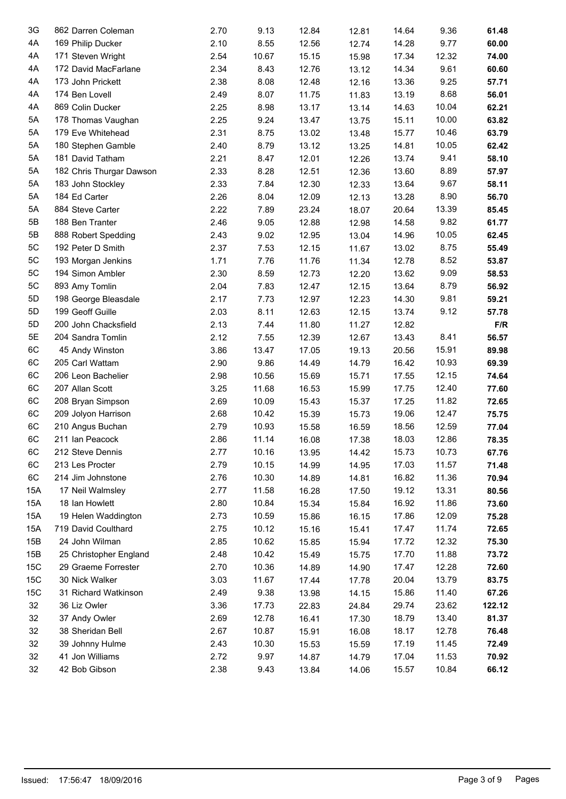| 3G  | 862 Darren Coleman       | 2.70 | 9.13  | 12.84 | 12.81 | 14.64 | 9.36  | 61.48  |  |
|-----|--------------------------|------|-------|-------|-------|-------|-------|--------|--|
| 4A  | 169 Philip Ducker        | 2.10 | 8.55  | 12.56 | 12.74 | 14.28 | 9.77  | 60.00  |  |
| 4A  | 171 Steven Wright        | 2.54 | 10.67 | 15.15 | 15.98 | 17.34 | 12.32 | 74.00  |  |
| 4A  | 172 David MacFarlane     | 2.34 | 8.43  | 12.76 | 13.12 | 14.34 | 9.61  | 60.60  |  |
| 4A  | 173 John Prickett        | 2.38 | 8.08  | 12.48 | 12.16 | 13.36 | 9.25  | 57.71  |  |
| 4A  | 174 Ben Lovell           | 2.49 | 8.07  | 11.75 | 11.83 | 13.19 | 8.68  | 56.01  |  |
| 4A  | 869 Colin Ducker         | 2.25 | 8.98  | 13.17 | 13.14 | 14.63 | 10.04 | 62.21  |  |
| 5A  | 178 Thomas Vaughan       | 2.25 | 9.24  | 13.47 | 13.75 | 15.11 | 10.00 | 63.82  |  |
| 5A  | 179 Eve Whitehead        | 2.31 | 8.75  | 13.02 | 13.48 | 15.77 | 10.46 | 63.79  |  |
| 5A  | 180 Stephen Gamble       | 2.40 | 8.79  | 13.12 | 13.25 | 14.81 | 10.05 | 62.42  |  |
| 5A  | 181 David Tatham         | 2.21 | 8.47  | 12.01 | 12.26 | 13.74 | 9.41  | 58.10  |  |
| 5A  | 182 Chris Thurgar Dawson | 2.33 | 8.28  | 12.51 | 12.36 | 13.60 | 8.89  | 57.97  |  |
| 5A  | 183 John Stockley        | 2.33 | 7.84  | 12.30 | 12.33 | 13.64 | 9.67  | 58.11  |  |
| 5A  | 184 Ed Carter            | 2.26 | 8.04  | 12.09 | 12.13 | 13.28 | 8.90  | 56.70  |  |
| 5A  | 884 Steve Carter         | 2.22 | 7.89  | 23.24 | 18.07 | 20.64 | 13.39 | 85.45  |  |
| 5B  | 188 Ben Tranter          | 2.46 | 9.05  | 12.88 | 12.98 | 14.58 | 9.82  | 61.77  |  |
| 5B  | 888 Robert Spedding      | 2.43 | 9.02  | 12.95 | 13.04 | 14.96 | 10.05 | 62.45  |  |
| 5C  | 192 Peter D Smith        | 2.37 | 7.53  | 12.15 | 11.67 | 13.02 | 8.75  | 55.49  |  |
| 5C  | 193 Morgan Jenkins       | 1.71 | 7.76  | 11.76 | 11.34 | 12.78 | 8.52  | 53.87  |  |
| 5C  | 194 Simon Ambler         | 2.30 | 8.59  | 12.73 | 12.20 | 13.62 | 9.09  | 58.53  |  |
| 5C  | 893 Amy Tomlin           | 2.04 | 7.83  | 12.47 | 12.15 | 13.64 | 8.79  | 56.92  |  |
| 5D  | 198 George Bleasdale     | 2.17 | 7.73  | 12.97 | 12.23 | 14.30 | 9.81  | 59.21  |  |
| 5D  | 199 Geoff Guille         | 2.03 | 8.11  | 12.63 | 12.15 | 13.74 | 9.12  | 57.78  |  |
| 5D  | 200 John Chacksfield     | 2.13 | 7.44  | 11.80 | 11.27 | 12.82 |       | F/R    |  |
| 5E  | 204 Sandra Tomlin        | 2.12 | 7.55  | 12.39 | 12.67 | 13.43 | 8.41  | 56.57  |  |
| 6C  | 45 Andy Winston          | 3.86 | 13.47 | 17.05 | 19.13 | 20.56 | 15.91 | 89.98  |  |
| 6C  | 205 Carl Wattam          | 2.90 | 9.86  | 14.49 | 14.79 | 16.42 | 10.93 | 69.39  |  |
| 6C  | 206 Leon Bachelier       | 2.98 | 10.56 | 15.69 | 15.71 | 17.55 | 12.15 | 74.64  |  |
| 6C  | 207 Allan Scott          | 3.25 | 11.68 | 16.53 | 15.99 | 17.75 | 12.40 | 77.60  |  |
| 6C  | 208 Bryan Simpson        | 2.69 | 10.09 | 15.43 | 15.37 | 17.25 | 11.82 | 72.65  |  |
| 6C  | 209 Jolyon Harrison      | 2.68 | 10.42 | 15.39 | 15.73 | 19.06 | 12.47 | 75.75  |  |
| 6C  | 210 Angus Buchan         | 2.79 | 10.93 | 15.58 | 16.59 | 18.56 | 12.59 | 77.04  |  |
| 6C  | 211 Ian Peacock          | 2.86 | 11.14 | 16.08 | 17.38 | 18.03 | 12.86 | 78.35  |  |
| 6C  | 212 Steve Dennis         | 2.77 | 10.16 | 13.95 | 14.42 | 15.73 | 10.73 | 67.76  |  |
| 6C  | 213 Les Procter          | 2.79 | 10.15 | 14.99 | 14.95 | 17.03 | 11.57 | 71.48  |  |
| 6C  | 214 Jim Johnstone        | 2.76 | 10.30 | 14.89 | 14.81 | 16.82 | 11.36 | 70.94  |  |
| 15A | 17 Neil Walmsley         | 2.77 | 11.58 | 16.28 | 17.50 | 19.12 | 13.31 | 80.56  |  |
| 15A | 18 Ian Howlett           | 2.80 | 10.84 | 15.34 | 15.84 | 16.92 | 11.86 | 73.60  |  |
| 15A | 19 Helen Waddington      | 2.73 | 10.59 | 15.86 | 16.15 | 17.86 | 12.09 | 75.28  |  |
| 15A | 719 David Coulthard      | 2.75 | 10.12 | 15.16 | 15.41 | 17.47 | 11.74 | 72.65  |  |
| 15B | 24 John Wilman           | 2.85 | 10.62 | 15.85 | 15.94 | 17.72 | 12.32 | 75.30  |  |
| 15B | 25 Christopher England   | 2.48 | 10.42 | 15.49 | 15.75 | 17.70 | 11.88 | 73.72  |  |
| 15C | 29 Graeme Forrester      | 2.70 | 10.36 | 14.89 | 14.90 | 17.47 | 12.28 | 72.60  |  |
| 15C | 30 Nick Walker           | 3.03 | 11.67 | 17.44 | 17.78 | 20.04 | 13.79 | 83.75  |  |
| 15C | 31 Richard Watkinson     | 2.49 | 9.38  | 13.98 | 14.15 | 15.86 | 11.40 | 67.26  |  |
| 32  | 36 Liz Owler             | 3.36 | 17.73 | 22.83 | 24.84 | 29.74 | 23.62 | 122.12 |  |
| 32  | 37 Andy Owler            | 2.69 | 12.78 | 16.41 | 17.30 | 18.79 | 13.40 | 81.37  |  |
| 32  | 38 Sheridan Bell         | 2.67 | 10.87 | 15.91 | 16.08 | 18.17 | 12.78 | 76.48  |  |
| 32  | 39 Johnny Hulme          | 2.43 | 10.30 | 15.53 | 15.59 | 17.19 | 11.45 | 72.49  |  |
| 32  | 41 Jon Williams          | 2.72 | 9.97  | 14.87 | 14.79 | 17.04 | 11.53 | 70.92  |  |
| 32  | 42 Bob Gibson            | 2.38 | 9.43  | 13.84 | 14.06 | 15.57 | 10.84 | 66.12  |  |
|     |                          |      |       |       |       |       |       |        |  |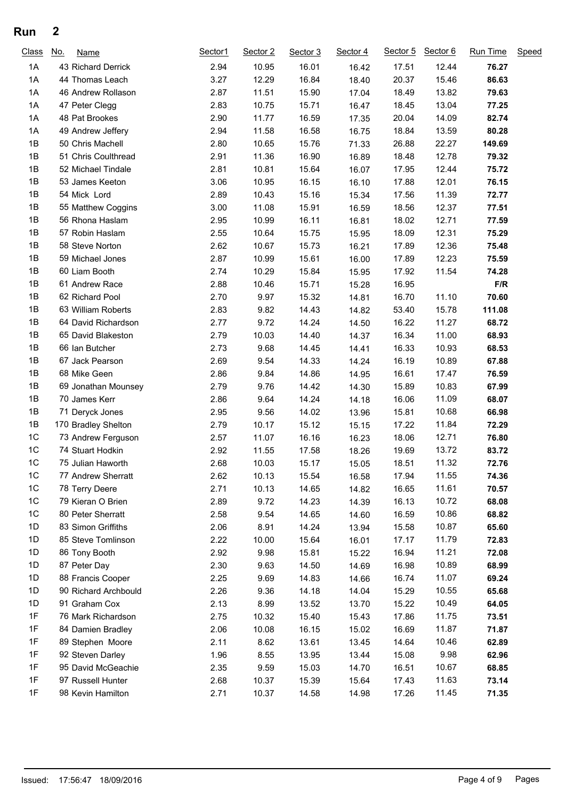## **Run 2**

| Class | <u>No.</u> | Name                 | Sector1 | Sector 2 | Sector 3 | Sector 4 | Sector 5 | Sector 6 | Run Time | Speed |
|-------|------------|----------------------|---------|----------|----------|----------|----------|----------|----------|-------|
| 1A    |            | 43 Richard Derrick   | 2.94    | 10.95    | 16.01    | 16.42    | 17.51    | 12.44    | 76.27    |       |
| 1A    |            | 44 Thomas Leach      | 3.27    | 12.29    | 16.84    | 18.40    | 20.37    | 15.46    | 86.63    |       |
| 1A    |            | 46 Andrew Rollason   | 2.87    | 11.51    | 15.90    | 17.04    | 18.49    | 13.82    | 79.63    |       |
| 1A    |            | 47 Peter Clegg       | 2.83    | 10.75    | 15.71    | 16.47    | 18.45    | 13.04    | 77.25    |       |
| 1A    |            | 48 Pat Brookes       | 2.90    | 11.77    | 16.59    | 17.35    | 20.04    | 14.09    | 82.74    |       |
| 1A    |            | 49 Andrew Jeffery    | 2.94    | 11.58    | 16.58    | 16.75    | 18.84    | 13.59    | 80.28    |       |
| 1B    |            | 50 Chris Machell     | 2.80    | 10.65    | 15.76    | 71.33    | 26.88    | 22.27    | 149.69   |       |
| 1B    |            | 51 Chris Coulthread  | 2.91    | 11.36    | 16.90    | 16.89    | 18.48    | 12.78    | 79.32    |       |
| 1B    |            | 52 Michael Tindale   | 2.81    | 10.81    | 15.64    | 16.07    | 17.95    | 12.44    | 75.72    |       |
| 1B    |            | 53 James Keeton      | 3.06    | 10.95    | 16.15    | 16.10    | 17.88    | 12.01    | 76.15    |       |
| 1B    |            | 54 Mick Lord         | 2.89    | 10.43    | 15.16    | 15.34    | 17.56    | 11.39    | 72.77    |       |
| 1B    |            | 55 Matthew Coggins   | 3.00    | 11.08    | 15.91    | 16.59    | 18.56    | 12.37    | 77.51    |       |
| 1B    |            | 56 Rhona Haslam      | 2.95    | 10.99    | 16.11    | 16.81    | 18.02    | 12.71    | 77.59    |       |
| 1B    |            | 57 Robin Haslam      | 2.55    | 10.64    | 15.75    | 15.95    | 18.09    | 12.31    | 75.29    |       |
| 1B    |            | 58 Steve Norton      | 2.62    | 10.67    | 15.73    | 16.21    | 17.89    | 12.36    | 75.48    |       |
| 1B    |            | 59 Michael Jones     | 2.87    | 10.99    | 15.61    | 16.00    | 17.89    | 12.23    | 75.59    |       |
| 1B    |            | 60 Liam Booth        | 2.74    | 10.29    | 15.84    | 15.95    | 17.92    | 11.54    | 74.28    |       |
| 1B    |            | 61 Andrew Race       | 2.88    | 10.46    | 15.71    | 15.28    | 16.95    |          | F/R      |       |
| 1B    |            | 62 Richard Pool      | 2.70    | 9.97     | 15.32    | 14.81    | 16.70    | 11.10    | 70.60    |       |
| 1B    |            | 63 William Roberts   | 2.83    | 9.82     | 14.43    | 14.82    | 53.40    | 15.78    | 111.08   |       |
| 1B    |            | 64 David Richardson  | 2.77    | 9.72     | 14.24    | 14.50    | 16.22    | 11.27    | 68.72    |       |
| 1B    |            | 65 David Blakeston   | 2.79    | 10.03    | 14.40    | 14.37    | 16.34    | 11.00    | 68.93    |       |
| 1B    |            | 66 Ian Butcher       | 2.73    | 9.68     | 14.45    | 14.41    | 16.33    | 10.93    | 68.53    |       |
| 1B    |            | 67 Jack Pearson      | 2.69    | 9.54     | 14.33    | 14.24    | 16.19    | 10.89    | 67.88    |       |
| 1B    |            | 68 Mike Geen         | 2.86    | 9.84     | 14.86    | 14.95    | 16.61    | 17.47    | 76.59    |       |
| 1B    |            | 69 Jonathan Mounsey  | 2.79    | 9.76     | 14.42    | 14.30    | 15.89    | 10.83    | 67.99    |       |
| 1B    |            | 70 James Kerr        | 2.86    | 9.64     | 14.24    | 14.18    | 16.06    | 11.09    | 68.07    |       |
| 1B    |            | 71 Deryck Jones      | 2.95    | 9.56     | 14.02    | 13.96    | 15.81    | 10.68    | 66.98    |       |
| 1B    |            | 170 Bradley Shelton  | 2.79    | 10.17    | 15.12    | 15.15    | 17.22    | 11.84    | 72.29    |       |
| 1C    |            | 73 Andrew Ferguson   | 2.57    | 11.07    | 16.16    | 16.23    | 18.06    | 12.71    | 76.80    |       |
| 1C    |            | 74 Stuart Hodkin     | 2.92    | 11.55    | 17.58    | 18.26    | 19.69    | 13.72    | 83.72    |       |
| 1C    |            | 75 Julian Haworth    | 2.68    | 10.03    | 15.17    | 15.05    | 18.51    | 11.32    | 72.76    |       |
| 1C    |            | 77 Andrew Sherratt   | 2.62    | 10.13    | 15.54    | 16.58    | 17.94    | 11.55    | 74.36    |       |
| 1C    |            | 78 Terry Deere       | 2.71    | 10.13    | 14.65    | 14.82    | 16.65    | 11.61    | 70.57    |       |
| 1C    |            | 79 Kieran O Brien    | 2.89    | 9.72     | 14.23    | 14.39    | 16.13    | 10.72    | 68.08    |       |
| 1C    |            | 80 Peter Sherratt    | 2.58    | 9.54     | 14.65    | 14.60    | 16.59    | 10.86    | 68.82    |       |
| 1D    |            | 83 Simon Griffiths   | 2.06    | 8.91     | 14.24    | 13.94    | 15.58    | 10.87    | 65.60    |       |
| 1D    |            | 85 Steve Tomlinson   | 2.22    | 10.00    | 15.64    | 16.01    | 17.17    | 11.79    | 72.83    |       |
| 1D    |            | 86 Tony Booth        | 2.92    | 9.98     | 15.81    | 15.22    | 16.94    | 11.21    | 72.08    |       |
| 1D    |            | 87 Peter Day         | 2.30    | 9.63     | 14.50    | 14.69    | 16.98    | 10.89    | 68.99    |       |
| 1D    |            | 88 Francis Cooper    | 2.25    | 9.69     | 14.83    | 14.66    | 16.74    | 11.07    | 69.24    |       |
| 1D    |            | 90 Richard Archbould | 2.26    | 9.36     | 14.18    | 14.04    | 15.29    | 10.55    | 65.68    |       |
| 1D    |            | 91 Graham Cox        | 2.13    | 8.99     | 13.52    | 13.70    | 15.22    | 10.49    | 64.05    |       |
| 1F    |            | 76 Mark Richardson   | 2.75    | 10.32    | 15.40    | 15.43    | 17.86    | 11.75    | 73.51    |       |
| 1F    |            | 84 Damien Bradley    | 2.06    | 10.08    | 16.15    | 15.02    | 16.69    | 11.87    | 71.87    |       |
| 1F    |            | 89 Stephen Moore     | 2.11    | 8.62     | 13.61    | 13.45    | 14.64    | 10.46    | 62.89    |       |
| 1F    |            | 92 Steven Darley     | 1.96    | 8.55     | 13.95    | 13.44    | 15.08    | 9.98     | 62.96    |       |
| 1F    |            | 95 David McGeachie   | 2.35    | 9.59     | 15.03    | 14.70    | 16.51    | 10.67    | 68.85    |       |
| 1F    |            | 97 Russell Hunter    | 2.68    | 10.37    | 15.39    | 15.64    | 17.43    | 11.63    | 73.14    |       |
| 1F    |            | 98 Kevin Hamilton    | 2.71    | 10.37    | 14.58    | 14.98    | 17.26    | 11.45    | 71.35    |       |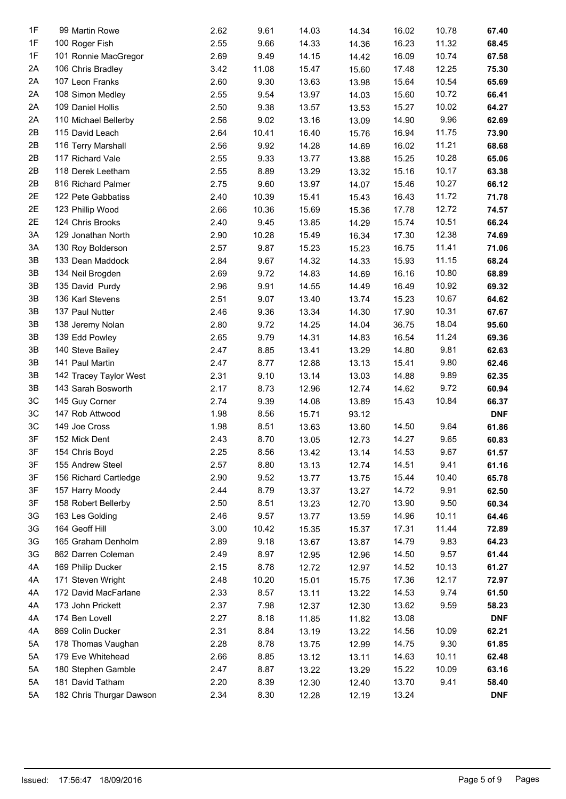| 1F | 99 Martin Rowe           | 2.62 | 9.61  | 14.03          | 14.34 | 16.02 | 10.78 | 67.40      |
|----|--------------------------|------|-------|----------------|-------|-------|-------|------------|
| 1F | 100 Roger Fish           | 2.55 | 9.66  | 14.33          | 14.36 | 16.23 | 11.32 | 68.45      |
| 1F | 101 Ronnie MacGregor     | 2.69 | 9.49  |                |       | 16.09 | 10.74 | 67.58      |
| 2A | 106 Chris Bradley        | 3.42 | 11.08 | 14.15          | 14.42 | 17.48 | 12.25 | 75.30      |
| 2A | 107 Leon Franks          | 2.60 | 9.30  | 15.47<br>13.63 | 15.60 | 15.64 | 10.54 | 65.69      |
| 2A |                          |      |       |                | 13.98 |       | 10.72 |            |
|    | 108 Simon Medley         | 2.55 | 9.54  | 13.97          | 14.03 | 15.60 |       | 66.41      |
| 2A | 109 Daniel Hollis        | 2.50 | 9.38  | 13.57          | 13.53 | 15.27 | 10.02 | 64.27      |
| 2A | 110 Michael Bellerby     | 2.56 | 9.02  | 13.16          | 13.09 | 14.90 | 9.96  | 62.69      |
| 2B | 115 David Leach          | 2.64 | 10.41 | 16.40          | 15.76 | 16.94 | 11.75 | 73.90      |
| 2B | 116 Terry Marshall       | 2.56 | 9.92  | 14.28          | 14.69 | 16.02 | 11.21 | 68.68      |
| 2B | 117 Richard Vale         | 2.55 | 9.33  | 13.77          | 13.88 | 15.25 | 10.28 | 65.06      |
| 2B | 118 Derek Leetham        | 2.55 | 8.89  | 13.29          | 13.32 | 15.16 | 10.17 | 63.38      |
| 2B | 816 Richard Palmer       | 2.75 | 9.60  | 13.97          | 14.07 | 15.46 | 10.27 | 66.12      |
| 2E | 122 Pete Gabbatiss       | 2.40 | 10.39 | 15.41          | 15.43 | 16.43 | 11.72 | 71.78      |
| 2E | 123 Phillip Wood         | 2.66 | 10.36 | 15.69          | 15.36 | 17.78 | 12.72 | 74.57      |
| 2E | 124 Chris Brooks         | 2.40 | 9.45  | 13.85          | 14.29 | 15.74 | 10.51 | 66.24      |
| 3A | 129 Jonathan North       | 2.90 | 10.28 | 15.49          | 16.34 | 17.30 | 12.38 | 74.69      |
| 3A | 130 Roy Bolderson        | 2.57 | 9.87  | 15.23          | 15.23 | 16.75 | 11.41 | 71.06      |
| 3B | 133 Dean Maddock         | 2.84 | 9.67  | 14.32          | 14.33 | 15.93 | 11.15 | 68.24      |
| 3B | 134 Neil Brogden         | 2.69 | 9.72  | 14.83          | 14.69 | 16.16 | 10.80 | 68.89      |
| 3B | 135 David Purdy          | 2.96 | 9.91  | 14.55          | 14.49 | 16.49 | 10.92 | 69.32      |
| 3B | 136 Karl Stevens         | 2.51 | 9.07  | 13.40          | 13.74 | 15.23 | 10.67 | 64.62      |
| 3B | 137 Paul Nutter          | 2.46 | 9.36  | 13.34          | 14.30 | 17.90 | 10.31 | 67.67      |
| 3B | 138 Jeremy Nolan         | 2.80 | 9.72  | 14.25          | 14.04 | 36.75 | 18.04 | 95.60      |
| 3B | 139 Edd Powley           | 2.65 | 9.79  | 14.31          | 14.83 | 16.54 | 11.24 | 69.36      |
| 3B | 140 Steve Bailey         | 2.47 | 8.85  | 13.41          | 13.29 | 14.80 | 9.81  | 62.63      |
| 3B | 141 Paul Martin          | 2.47 | 8.77  | 12.88          | 13.13 | 15.41 | 9.80  | 62.46      |
| 3B | 142 Tracey Taylor West   | 2.31 | 9.10  | 13.14          | 13.03 | 14.88 | 9.89  | 62.35      |
| 3B | 143 Sarah Bosworth       | 2.17 | 8.73  | 12.96          | 12.74 | 14.62 | 9.72  | 60.94      |
| 3C | 145 Guy Corner           | 2.74 | 9.39  | 14.08          | 13.89 | 15.43 | 10.84 | 66.37      |
| 3C | 147 Rob Attwood          | 1.98 | 8.56  | 15.71          | 93.12 |       |       | <b>DNF</b> |
| 3C | 149 Joe Cross            | 1.98 | 8.51  | 13.63          | 13.60 | 14.50 | 9.64  | 61.86      |
| 3F | 152 Mick Dent            | 2.43 | 8.70  | 13.05          | 12.73 | 14.27 | 9.65  | 60.83      |
| 3F | 154 Chris Boyd           | 2.25 | 8.56  | 13.42          | 13.14 | 14.53 | 9.67  | 61.57      |
| 3F | 155 Andrew Steel         | 2.57 | 8.80  | 13.13          | 12.74 | 14.51 | 9.41  | 61.16      |
| 3F | 156 Richard Cartledge    | 2.90 | 9.52  | 13.77          | 13.75 | 15.44 | 10.40 | 65.78      |
| 3F | 157 Harry Moody          | 2.44 | 8.79  | 13.37          | 13.27 | 14.72 | 9.91  | 62.50      |
| 3F | 158 Robert Bellerby      | 2.50 | 8.51  | 13.23          | 12.70 | 13.90 | 9.50  | 60.34      |
| 3G | 163 Les Golding          | 2.46 | 9.57  | 13.77          | 13.59 | 14.96 | 10.11 | 64.46      |
| 3G | 164 Geoff Hill           | 3.00 | 10.42 | 15.35          | 15.37 | 17.31 | 11.44 | 72.89      |
| 3G | 165 Graham Denholm       | 2.89 | 9.18  | 13.67          | 13.87 | 14.79 | 9.83  | 64.23      |
| 3G | 862 Darren Coleman       | 2.49 | 8.97  | 12.95          | 12.96 | 14.50 | 9.57  | 61.44      |
| 4A | 169 Philip Ducker        | 2.15 | 8.78  | 12.72          | 12.97 | 14.52 | 10.13 | 61.27      |
| 4A | 171 Steven Wright        | 2.48 | 10.20 | 15.01          | 15.75 | 17.36 | 12.17 | 72.97      |
| 4A | 172 David MacFarlane     | 2.33 | 8.57  | 13.11          | 13.22 | 14.53 | 9.74  | 61.50      |
| 4A | 173 John Prickett        | 2.37 | 7.98  | 12.37          | 12.30 | 13.62 | 9.59  | 58.23      |
| 4A | 174 Ben Lovell           | 2.27 | 8.18  | 11.85          | 11.82 | 13.08 |       | <b>DNF</b> |
| 4A | 869 Colin Ducker         | 2.31 | 8.84  | 13.19          | 13.22 | 14.56 | 10.09 | 62.21      |
| 5A | 178 Thomas Vaughan       | 2.28 | 8.78  | 13.75          | 12.99 | 14.75 | 9.30  | 61.85      |
| 5A | 179 Eve Whitehead        | 2.66 | 8.85  | 13.12          | 13.11 | 14.63 | 10.11 | 62.48      |
| 5A | 180 Stephen Gamble       | 2.47 | 8.87  | 13.22          | 13.29 | 15.22 | 10.09 | 63.16      |
| 5A | 181 David Tatham         | 2.20 | 8.39  | 12.30          | 12.40 | 13.70 | 9.41  | 58.40      |
| 5A | 182 Chris Thurgar Dawson | 2.34 | 8.30  | 12.28          | 12.19 | 13.24 |       | <b>DNF</b> |
|    |                          |      |       |                |       |       |       |            |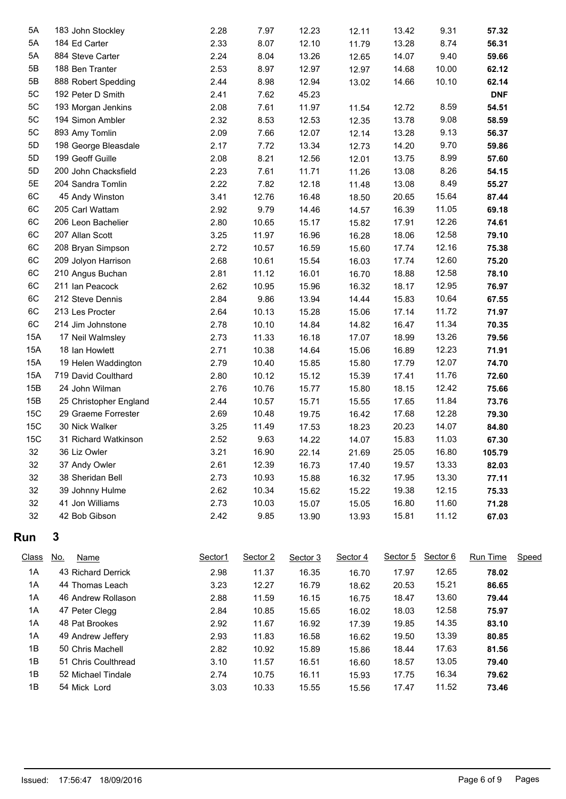| 5A  | 183 John Stockley      | 2.28 | 7.97  | 12.23 | 12.11 | 13.42 | 9.31  | 57.32      |  |
|-----|------------------------|------|-------|-------|-------|-------|-------|------------|--|
| 5A  | 184 Ed Carter          | 2.33 | 8.07  | 12.10 | 11.79 | 13.28 | 8.74  | 56.31      |  |
| 5A  | 884 Steve Carter       | 2.24 | 8.04  | 13.26 | 12.65 | 14.07 | 9.40  | 59.66      |  |
| 5B  | 188 Ben Tranter        | 2.53 | 8.97  | 12.97 | 12.97 | 14.68 | 10.00 | 62.12      |  |
| 5B  | 888 Robert Spedding    | 2.44 | 8.98  | 12.94 | 13.02 | 14.66 | 10.10 | 62.14      |  |
| 5C  | 192 Peter D Smith      | 2.41 | 7.62  | 45.23 |       |       |       | <b>DNF</b> |  |
| 5C  | 193 Morgan Jenkins     | 2.08 | 7.61  | 11.97 | 11.54 | 12.72 | 8.59  | 54.51      |  |
| 5C  | 194 Simon Ambler       | 2.32 | 8.53  | 12.53 | 12.35 | 13.78 | 9.08  | 58.59      |  |
| 5C  | 893 Amy Tomlin         | 2.09 | 7.66  | 12.07 | 12.14 | 13.28 | 9.13  | 56.37      |  |
| 5D  | 198 George Bleasdale   | 2.17 | 7.72  | 13.34 | 12.73 | 14.20 | 9.70  | 59.86      |  |
| 5D  | 199 Geoff Guille       | 2.08 | 8.21  | 12.56 | 12.01 | 13.75 | 8.99  | 57.60      |  |
| 5D  | 200 John Chacksfield   | 2.23 | 7.61  | 11.71 | 11.26 | 13.08 | 8.26  | 54.15      |  |
| 5E  | 204 Sandra Tomlin      | 2.22 | 7.82  | 12.18 | 11.48 | 13.08 | 8.49  | 55.27      |  |
| 6C  | 45 Andy Winston        | 3.41 | 12.76 | 16.48 | 18.50 | 20.65 | 15.64 | 87.44      |  |
| 6C  | 205 Carl Wattam        | 2.92 | 9.79  | 14.46 | 14.57 | 16.39 | 11.05 | 69.18      |  |
| 6C  | 206 Leon Bachelier     | 2.80 | 10.65 | 15.17 | 15.82 | 17.91 | 12.26 | 74.61      |  |
| 6C  | 207 Allan Scott        | 3.25 | 11.97 | 16.96 | 16.28 | 18.06 | 12.58 | 79.10      |  |
| 6C  | 208 Bryan Simpson      | 2.72 | 10.57 | 16.59 | 15.60 | 17.74 | 12.16 | 75.38      |  |
| 6C  | 209 Jolyon Harrison    | 2.68 | 10.61 | 15.54 | 16.03 | 17.74 | 12.60 | 75.20      |  |
| 6C  | 210 Angus Buchan       | 2.81 | 11.12 | 16.01 | 16.70 | 18.88 | 12.58 | 78.10      |  |
| 6C  | 211 Ian Peacock        | 2.62 | 10.95 | 15.96 | 16.32 | 18.17 | 12.95 | 76.97      |  |
| 6C  | 212 Steve Dennis       | 2.84 | 9.86  | 13.94 | 14.44 | 15.83 | 10.64 | 67.55      |  |
| 6C  | 213 Les Procter        | 2.64 | 10.13 | 15.28 | 15.06 | 17.14 | 11.72 | 71.97      |  |
| 6C  | 214 Jim Johnstone      | 2.78 | 10.10 | 14.84 | 14.82 | 16.47 | 11.34 | 70.35      |  |
| 15A | 17 Neil Walmsley       | 2.73 | 11.33 | 16.18 | 17.07 | 18.99 | 13.26 | 79.56      |  |
| 15A | 18 Ian Howlett         | 2.71 | 10.38 | 14.64 | 15.06 | 16.89 | 12.23 | 71.91      |  |
| 15A | 19 Helen Waddington    | 2.79 | 10.40 | 15.85 | 15.80 | 17.79 | 12.07 | 74.70      |  |
| 15A | 719 David Coulthard    | 2.80 | 10.12 | 15.12 | 15.39 | 17.41 | 11.76 | 72.60      |  |
| 15B | 24 John Wilman         | 2.76 | 10.76 | 15.77 | 15.80 | 18.15 | 12.42 | 75.66      |  |
| 15B | 25 Christopher England | 2.44 | 10.57 | 15.71 | 15.55 | 17.65 | 11.84 | 73.76      |  |
| 15C | 29 Graeme Forrester    | 2.69 | 10.48 | 19.75 | 16.42 | 17.68 | 12.28 | 79.30      |  |
| 15C | 30 Nick Walker         | 3.25 | 11.49 | 17.53 | 18.23 | 20.23 | 14.07 | 84.80      |  |
| 15C | 31 Richard Watkinson   | 2.52 | 9.63  | 14.22 | 14.07 | 15.83 | 11.03 | 67.30      |  |
| 32  | 36 Liz Owler           | 3.21 | 16.90 | 22.14 | 21.69 | 25.05 | 16.80 | 105.79     |  |
| 32  | 37 Andy Owler          | 2.61 | 12.39 | 16.73 | 17.40 | 19.57 | 13.33 | 82.03      |  |
| 32  | 38 Sheridan Bell       | 2.73 | 10.93 | 15.88 | 16.32 | 17.95 | 13.30 | 77.11      |  |
| 32  | 39 Johnny Hulme        | 2.62 | 10.34 | 15.62 | 15.22 | 19.38 | 12.15 | 75.33      |  |
| 32  | 41 Jon Williams        | 2.73 | 10.03 | 15.07 | 15.05 | 16.80 | 11.60 | 71.28      |  |
| 32  | 42 Bob Gibson          | 2.42 | 9.85  | 13.90 | 13.93 | 15.81 | 11.12 | 67.03      |  |
|     |                        |      |       |       |       |       |       |            |  |

## **Run 3**

| Class | <u>No.</u> | <b>Name</b>         | Sector1 | Sector 2 | Sector 3 | Sector 4 | Sector 5 | Sector 6 | <b>Run Time</b> | Speed |
|-------|------------|---------------------|---------|----------|----------|----------|----------|----------|-----------------|-------|
| 1A    |            | 43 Richard Derrick  | 2.98    | 11.37    | 16.35    | 16.70    | 17.97    | 12.65    | 78.02           |       |
| 1A    |            | 44 Thomas Leach     | 3.23    | 12.27    | 16.79    | 18.62    | 20.53    | 15.21    | 86.65           |       |
| 1A    |            | 46 Andrew Rollason  | 2.88    | 11.59    | 16.15    | 16.75    | 18.47    | 13.60    | 79.44           |       |
| 1A    |            | 47 Peter Clegg      | 2.84    | 10.85    | 15.65    | 16.02    | 18.03    | 12.58    | 75.97           |       |
| 1A    |            | 48 Pat Brookes      | 2.92    | 11.67    | 16.92    | 17.39    | 19.85    | 14.35    | 83.10           |       |
| 1A    |            | 49 Andrew Jeffery   | 2.93    | 11.83    | 16.58    | 16.62    | 19.50    | 13.39    | 80.85           |       |
| 1B    |            | 50 Chris Machell    | 2.82    | 10.92    | 15.89    | 15.86    | 18.44    | 17.63    | 81.56           |       |
| 1B    |            | 51 Chris Coulthread | 3.10    | 11.57    | 16.51    | 16.60    | 18.57    | 13.05    | 79.40           |       |
| 1B    |            | 52 Michael Tindale  | 2.74    | 10.75    | 16.11    | 15.93    | 17.75    | 16.34    | 79.62           |       |
| 1B    |            | 54 Mick Lord        | 3.03    | 10.33    | 15.55    | 15.56    | 17.47    | 11.52    | 73.46           |       |
|       |            |                     |         |          |          |          |          |          |                 |       |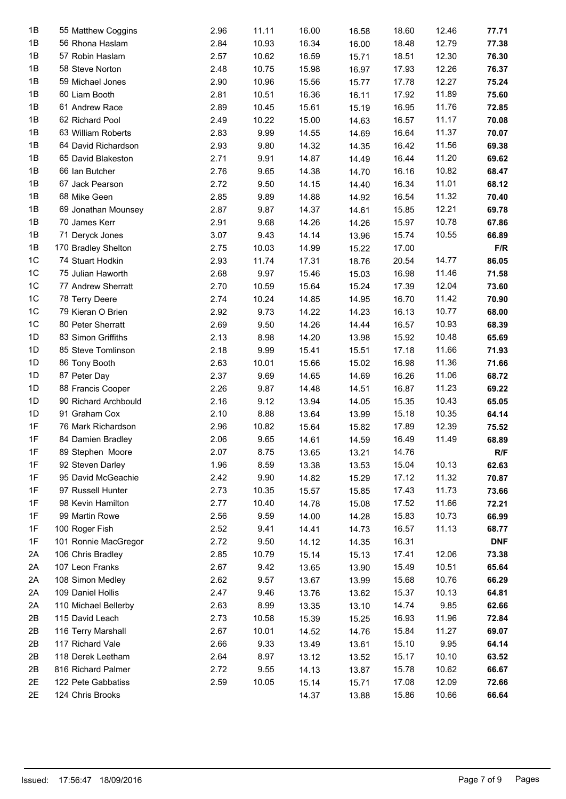| 1B             | 55 Matthew Coggins   | 2.96 | 11.11 | 16.00 | 16.58 | 18.60 | 12.46 | 77.71      |
|----------------|----------------------|------|-------|-------|-------|-------|-------|------------|
| 1B             | 56 Rhona Haslam      | 2.84 | 10.93 | 16.34 | 16.00 | 18.48 | 12.79 | 77.38      |
| 1B             | 57 Robin Haslam      | 2.57 | 10.62 | 16.59 | 15.71 | 18.51 | 12.30 | 76.30      |
| 1B             | 58 Steve Norton      | 2.48 | 10.75 | 15.98 | 16.97 | 17.93 | 12.26 | 76.37      |
| 1B             | 59 Michael Jones     | 2.90 | 10.96 | 15.56 | 15.77 | 17.78 | 12.27 | 75.24      |
| 1B             | 60 Liam Booth        | 2.81 | 10.51 | 16.36 | 16.11 | 17.92 | 11.89 | 75.60      |
| 1B             | 61 Andrew Race       | 2.89 | 10.45 | 15.61 | 15.19 | 16.95 | 11.76 | 72.85      |
| 1B             | 62 Richard Pool      | 2.49 | 10.22 | 15.00 | 14.63 | 16.57 | 11.17 | 70.08      |
| 1B             | 63 William Roberts   | 2.83 | 9.99  | 14.55 | 14.69 | 16.64 | 11.37 | 70.07      |
| 1B             | 64 David Richardson  | 2.93 | 9.80  | 14.32 | 14.35 | 16.42 | 11.56 | 69.38      |
| 1B             | 65 David Blakeston   | 2.71 | 9.91  | 14.87 | 14.49 | 16.44 | 11.20 | 69.62      |
| 1B             | 66 Ian Butcher       | 2.76 | 9.65  | 14.38 | 14.70 | 16.16 | 10.82 | 68.47      |
| 1B             | 67 Jack Pearson      | 2.72 | 9.50  | 14.15 | 14.40 | 16.34 | 11.01 | 68.12      |
| 1B             | 68 Mike Geen         | 2.85 | 9.89  | 14.88 | 14.92 | 16.54 | 11.32 | 70.40      |
| 1B             | 69 Jonathan Mounsey  | 2.87 | 9.87  | 14.37 | 14.61 | 15.85 | 12.21 | 69.78      |
| 1B             | 70 James Kerr        | 2.91 | 9.68  | 14.26 | 14.26 | 15.97 | 10.78 | 67.86      |
| 1B             | 71 Deryck Jones      | 3.07 | 9.43  | 14.14 | 13.96 | 15.74 | 10.55 | 66.89      |
| 1B             | 170 Bradley Shelton  | 2.75 | 10.03 | 14.99 | 15.22 | 17.00 |       | F/R        |
| 1C             | 74 Stuart Hodkin     | 2.93 | 11.74 | 17.31 | 18.76 | 20.54 | 14.77 | 86.05      |
| $1C$           | 75 Julian Haworth    | 2.68 | 9.97  | 15.46 | 15.03 | 16.98 | 11.46 | 71.58      |
| 1C             | 77 Andrew Sherratt   | 2.70 | 10.59 | 15.64 | 15.24 | 17.39 | 12.04 | 73.60      |
| 1C             | 78 Terry Deere       | 2.74 | 10.24 | 14.85 | 14.95 | 16.70 | 11.42 | 70.90      |
| 1C             | 79 Kieran O Brien    | 2.92 | 9.73  | 14.22 | 14.23 | 16.13 | 10.77 | 68.00      |
| 1 <sup>C</sup> | 80 Peter Sherratt    | 2.69 | 9.50  | 14.26 | 14.44 | 16.57 | 10.93 | 68.39      |
| 1D             | 83 Simon Griffiths   | 2.13 | 8.98  | 14.20 | 13.98 | 15.92 | 10.48 | 65.69      |
| 1D             | 85 Steve Tomlinson   | 2.18 | 9.99  | 15.41 |       | 17.18 | 11.66 | 71.93      |
|                |                      |      |       |       | 15.51 |       |       |            |
| 1D             | 86 Tony Booth        | 2.63 | 10.01 | 15.66 | 15.02 | 16.98 | 11.36 | 71.66      |
| 1D             | 87 Peter Day         | 2.37 | 9.69  | 14.65 | 14.69 | 16.26 | 11.06 | 68.72      |
| 1D             | 88 Francis Cooper    | 2.26 | 9.87  | 14.48 | 14.51 | 16.87 | 11.23 | 69.22      |
| 1D             | 90 Richard Archbould | 2.16 | 9.12  | 13.94 | 14.05 | 15.35 | 10.43 | 65.05      |
| 1D             | 91 Graham Cox        | 2.10 | 8.88  | 13.64 | 13.99 | 15.18 | 10.35 | 64.14      |
| 1F             | 76 Mark Richardson   | 2.96 | 10.82 | 15.64 | 15.82 | 17.89 | 12.39 | 75.52      |
| 1F             | 84 Damien Bradley    | 2.06 | 9.65  | 14.61 | 14.59 | 16.49 | 11.49 | 68.89      |
| 1F             | 89 Stephen Moore     | 2.07 | 8.75  | 13.65 | 13.21 | 14.76 |       | R/F        |
| 1F             | 92 Steven Darley     | 1.96 | 8.59  | 13.38 | 13.53 | 15.04 | 10.13 | 62.63      |
| 1F             | 95 David McGeachie   | 2.42 | 9.90  | 14.82 | 15.29 | 17.12 | 11.32 | 70.87      |
| 1F             | 97 Russell Hunter    | 2.73 | 10.35 | 15.57 | 15.85 | 17.43 | 11.73 | 73.66      |
| 1F             | 98 Kevin Hamilton    | 2.77 | 10.40 | 14.78 | 15.08 | 17.52 | 11.66 | 72.21      |
| 1F             | 99 Martin Rowe       | 2.56 | 9.59  | 14.00 | 14.28 | 15.83 | 10.73 | 66.99      |
| 1F             | 100 Roger Fish       | 2.52 | 9.41  | 14.41 | 14.73 | 16.57 | 11.13 | 68.77      |
| 1F             | 101 Ronnie MacGregor | 2.72 | 9.50  | 14.12 | 14.35 | 16.31 |       | <b>DNF</b> |
| 2A             | 106 Chris Bradley    | 2.85 | 10.79 | 15.14 | 15.13 | 17.41 | 12.06 | 73.38      |
| 2A             | 107 Leon Franks      | 2.67 | 9.42  | 13.65 | 13.90 | 15.49 | 10.51 | 65.64      |
| 2A             | 108 Simon Medley     | 2.62 | 9.57  | 13.67 | 13.99 | 15.68 | 10.76 | 66.29      |
| 2A             | 109 Daniel Hollis    | 2.47 | 9.46  | 13.76 | 13.62 | 15.37 | 10.13 | 64.81      |
| 2A             | 110 Michael Bellerby | 2.63 | 8.99  | 13.35 | 13.10 | 14.74 | 9.85  | 62.66      |
| 2B             | 115 David Leach      | 2.73 | 10.58 | 15.39 | 15.25 | 16.93 | 11.96 | 72.84      |
| 2B             | 116 Terry Marshall   | 2.67 | 10.01 | 14.52 | 14.76 | 15.84 | 11.27 | 69.07      |
| 2B             | 117 Richard Vale     | 2.66 | 9.33  | 13.49 | 13.61 | 15.10 | 9.95  | 64.14      |
| 2B             | 118 Derek Leetham    | 2.64 | 8.97  | 13.12 | 13.52 | 15.17 | 10.10 | 63.52      |
| 2B             | 816 Richard Palmer   | 2.72 | 9.55  | 14.13 | 13.87 | 15.78 | 10.62 | 66.67      |
| 2E             | 122 Pete Gabbatiss   | 2.59 | 10.05 | 15.14 | 15.71 | 17.08 | 12.09 | 72.66      |
| 2E             | 124 Chris Brooks     |      |       | 14.37 | 13.88 | 15.86 | 10.66 | 66.64      |
|                |                      |      |       |       |       |       |       |            |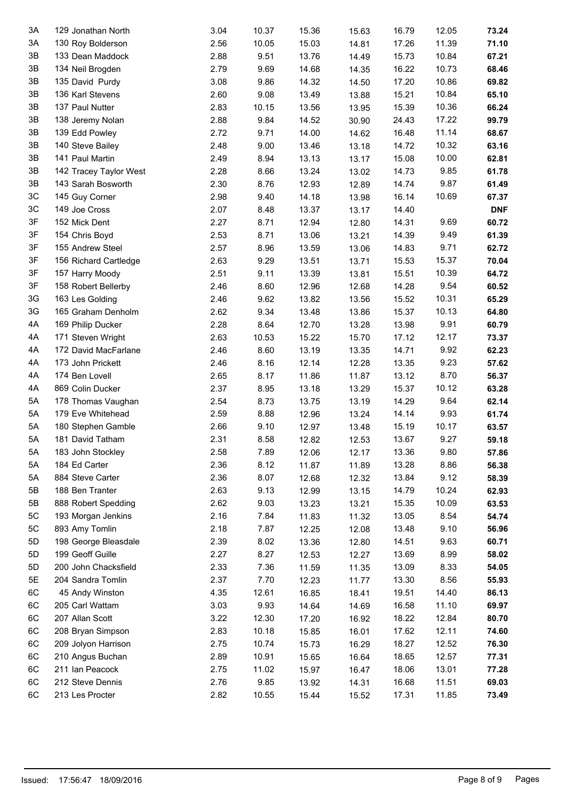| 3A | 129 Jonathan North     | 3.04 | 10.37 | 15.36 | 15.63 | 16.79 | 12.05 | 73.24      |
|----|------------------------|------|-------|-------|-------|-------|-------|------------|
| 3A | 130 Roy Bolderson      | 2.56 | 10.05 | 15.03 | 14.81 | 17.26 | 11.39 | 71.10      |
| 3B | 133 Dean Maddock       | 2.88 | 9.51  | 13.76 | 14.49 | 15.73 | 10.84 | 67.21      |
| 3B | 134 Neil Brogden       | 2.79 | 9.69  | 14.68 | 14.35 | 16.22 | 10.73 | 68.46      |
| 3B | 135 David Purdy        | 3.08 | 9.86  | 14.32 | 14.50 | 17.20 | 10.86 | 69.82      |
| 3B | 136 Karl Stevens       | 2.60 | 9.08  | 13.49 | 13.88 | 15.21 | 10.84 | 65.10      |
| 3B | 137 Paul Nutter        | 2.83 | 10.15 | 13.56 | 13.95 | 15.39 | 10.36 | 66.24      |
| 3B | 138 Jeremy Nolan       | 2.88 | 9.84  | 14.52 | 30.90 | 24.43 | 17.22 | 99.79      |
| 3B | 139 Edd Powley         | 2.72 | 9.71  | 14.00 | 14.62 | 16.48 | 11.14 | 68.67      |
| 3B | 140 Steve Bailey       | 2.48 | 9.00  | 13.46 | 13.18 | 14.72 | 10.32 | 63.16      |
| 3B | 141 Paul Martin        | 2.49 | 8.94  | 13.13 | 13.17 | 15.08 | 10.00 | 62.81      |
| 3B | 142 Tracey Taylor West | 2.28 | 8.66  | 13.24 | 13.02 | 14.73 | 9.85  | 61.78      |
| 3B | 143 Sarah Bosworth     | 2.30 | 8.76  | 12.93 | 12.89 | 14.74 | 9.87  | 61.49      |
| 3C | 145 Guy Corner         | 2.98 | 9.40  | 14.18 | 13.98 | 16.14 | 10.69 | 67.37      |
| 3C | 149 Joe Cross          | 2.07 | 8.48  | 13.37 | 13.17 | 14.40 |       | <b>DNF</b> |
| 3F | 152 Mick Dent          | 2.27 | 8.71  | 12.94 | 12.80 | 14.31 | 9.69  | 60.72      |
| 3F | 154 Chris Boyd         | 2.53 | 8.71  | 13.06 | 13.21 | 14.39 | 9.49  | 61.39      |
| 3F | 155 Andrew Steel       | 2.57 | 8.96  | 13.59 | 13.06 | 14.83 | 9.71  | 62.72      |
| 3F | 156 Richard Cartledge  | 2.63 | 9.29  | 13.51 | 13.71 | 15.53 | 15.37 | 70.04      |
| 3F | 157 Harry Moody        | 2.51 | 9.11  | 13.39 | 13.81 | 15.51 | 10.39 | 64.72      |
| 3F | 158 Robert Bellerby    | 2.46 | 8.60  | 12.96 | 12.68 | 14.28 | 9.54  | 60.52      |
| 3G | 163 Les Golding        | 2.46 | 9.62  | 13.82 | 13.56 | 15.52 | 10.31 | 65.29      |
| 3G | 165 Graham Denholm     | 2.62 | 9.34  | 13.48 | 13.86 | 15.37 | 10.13 | 64.80      |
| 4A | 169 Philip Ducker      | 2.28 | 8.64  | 12.70 | 13.28 | 13.98 | 9.91  | 60.79      |
| 4A | 171 Steven Wright      | 2.63 | 10.53 | 15.22 | 15.70 | 17.12 | 12.17 | 73.37      |
| 4A | 172 David MacFarlane   | 2.46 | 8.60  | 13.19 | 13.35 | 14.71 | 9.92  | 62.23      |
| 4A | 173 John Prickett      | 2.46 | 8.16  | 12.14 | 12.28 | 13.35 | 9.23  | 57.62      |
| 4A | 174 Ben Lovell         | 2.65 | 8.17  | 11.86 | 11.87 | 13.12 | 8.70  | 56.37      |
| 4A | 869 Colin Ducker       | 2.37 | 8.95  | 13.18 | 13.29 | 15.37 | 10.12 | 63.28      |
| 5A | 178 Thomas Vaughan     | 2.54 | 8.73  | 13.75 | 13.19 | 14.29 | 9.64  | 62.14      |
| 5A | 179 Eve Whitehead      | 2.59 | 8.88  | 12.96 | 13.24 | 14.14 | 9.93  | 61.74      |
| 5A | 180 Stephen Gamble     | 2.66 | 9.10  | 12.97 | 13.48 | 15.19 | 10.17 | 63.57      |
| 5A | 181 David Tatham       | 2.31 | 8.58  | 12.82 | 12.53 | 13.67 | 9.27  | 59.18      |
| 5A | 183 John Stockley      | 2.58 | 7.89  | 12.06 | 12.17 | 13.36 | 9.80  | 57.86      |
| 5A | 184 Ed Carter          | 2.36 | 8.12  | 11.87 | 11.89 | 13.28 | 8.86  | 56.38      |
| 5A | 884 Steve Carter       | 2.36 | 8.07  | 12.68 | 12.32 | 13.84 | 9.12  | 58.39      |
| 5B | 188 Ben Tranter        | 2.63 | 9.13  | 12.99 | 13.15 | 14.79 | 10.24 | 62.93      |
| 5B | 888 Robert Spedding    | 2.62 | 9.03  | 13.23 | 13.21 | 15.35 | 10.09 | 63.53      |
| 5C | 193 Morgan Jenkins     | 2.16 | 7.84  | 11.83 | 11.32 | 13.05 | 8.54  | 54.74      |
| 5C | 893 Amy Tomlin         | 2.18 | 7.87  | 12.25 | 12.08 | 13.48 | 9.10  | 56.96      |
| 5D | 198 George Bleasdale   | 2.39 | 8.02  | 13.36 | 12.80 | 14.51 | 9.63  | 60.71      |
| 5D | 199 Geoff Guille       | 2.27 | 8.27  | 12.53 | 12.27 | 13.69 | 8.99  | 58.02      |
| 5D | 200 John Chacksfield   | 2.33 | 7.36  | 11.59 | 11.35 | 13.09 | 8.33  | 54.05      |
| 5E | 204 Sandra Tomlin      | 2.37 | 7.70  | 12.23 | 11.77 | 13.30 | 8.56  | 55.93      |
| 6C | 45 Andy Winston        | 4.35 | 12.61 | 16.85 | 18.41 | 19.51 | 14.40 | 86.13      |
| 6C | 205 Carl Wattam        | 3.03 | 9.93  | 14.64 | 14.69 | 16.58 | 11.10 | 69.97      |
| 6C | 207 Allan Scott        | 3.22 | 12.30 | 17.20 | 16.92 | 18.22 | 12.84 | 80.70      |
| 6C | 208 Bryan Simpson      | 2.83 | 10.18 | 15.85 | 16.01 | 17.62 | 12.11 | 74.60      |
| 6C | 209 Jolyon Harrison    | 2.75 | 10.74 | 15.73 | 16.29 | 18.27 | 12.52 | 76.30      |
| 6C | 210 Angus Buchan       | 2.89 | 10.91 | 15.65 |       | 18.65 | 12.57 | 77.31      |
| 6C | 211 Ian Peacock        | 2.75 | 11.02 |       | 16.64 | 18.06 | 13.01 | 77.28      |
| 6C |                        | 2.76 | 9.85  | 15.97 | 16.47 |       |       |            |
| 6C | 212 Steve Dennis       |      |       | 13.92 | 14.31 | 16.68 | 11.51 | 69.03      |
|    | 213 Les Procter        | 2.82 | 10.55 | 15.44 | 15.52 | 17.31 | 11.85 | 73.49      |